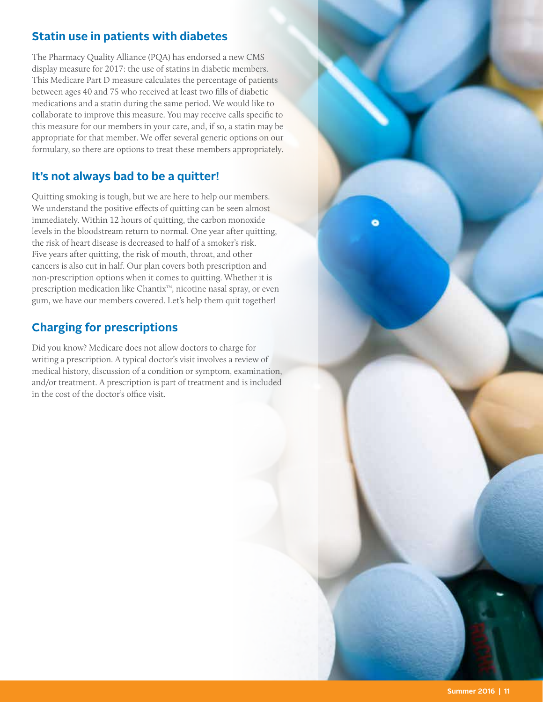### **Statin use in patients with diabetes**

The Pharmacy Quality Alliance (PQA) has endorsed a new CMS display measure for 2017: the use of statins in diabetic members. This Medicare Part D measure calculates the percentage of patients between ages 40 and 75 who received at least two flls of diabetic medications and a statin during the same period. We would like to collaborate to improve this measure. You may receive calls specifc to this measure for our members in your care, and, if so, a statin may be appropriate for that member. We offer several generic options on our formulary, so there are options to treat these members appropriately.

## **It's not always bad to be a quitter!**

Quitting smoking is tough, but we are here to help our members. We understand the positive effects of quitting can be seen almost immediately. Within 12 hours of quitting, the carbon monoxide levels in the bloodstream return to normal. One year after quitting, the risk of heart disease is decreased to half of a smoker's risk. Five years after quitting, the risk of mouth, throat, and other cancers is also cut in half. Our plan covers both prescription and non-prescription options when it comes to quitting. Whether it is prescription medication like Chantix™, nicotine nasal spray, or even gum, we have our members covered. Let's help them quit together!

## **Charging for prescriptions**

Did you know? Medicare does not allow doctors to charge for writing a prescription. A typical doctor's visit involves a review of medical history, discussion of a condition or symptom, examination, and/or treatment. A prescription is part of treatment and is included in the cost of the doctor's office visit.

۰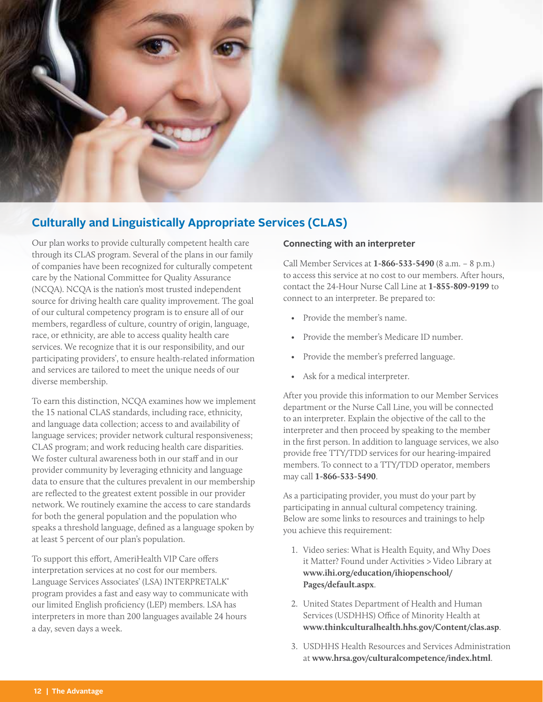

# **Culturally and Linguistically Appropriate Services (CLAS)**

Our plan works to provide culturally competent health care through its CLAS program. Several of the plans in our family of companies have been recognized for culturally competent care by the National Committee for Quality Assurance (NCQA). NCQA is the nation's most trusted independent source for driving health care quality improvement. The goal of our cultural competency program is to ensure all of our members, regardless of culture, country of origin, language, race, or ethnicity, are able to access quality health care services. We recognize that it is our responsibility, and our participating providers', to ensure health-related information and services are tailored to meet the unique needs of our diverse membership.

To earn this distinction, NCQA examines how we implement the 15 national CLAS standards, including race, ethnicity, and language data collection; access to and availability of language services; provider network cultural responsiveness; CLAS program; and work reducing health care disparities. We foster cultural awareness both in our staff and in our provider community by leveraging ethnicity and language data to ensure that the cultures prevalent in our membership are refected to the greatest extent possible in our provider network. We routinely examine the access to care standards for both the general population and the population who speaks a threshold language, defned as a language spoken by at least 5 percent of our plan's population.

 Language Services Associates' (LSA) INTERPRETALK® To support this effort, AmeriHealth VIP Care offers interpretation services at no cost for our members. program provides a fast and easy way to communicate with our limited English profciency (LEP) members. LSA has interpreters in more than 200 languages available 24 hours a day, seven days a week.

#### **Connecting with an interpreter**

Call Member Services at **1-866-533-5490** (8 a.m. – 8 p.m.) to access this service at no cost to our members. After hours, contact the 24-Hour Nurse Call Line at **1-855-809-9199** to connect to an interpreter. Be prepared to:

- Provide the member's name.
- Provide the member's Medicare ID number.
- Provide the member's preferred language.
- Ask for a medical interpreter.

After you provide this information to our Member Services department or the Nurse Call Line, you will be connected to an interpreter. Explain the objective of the call to the interpreter and then proceed by speaking to the member in the frst person. In addition to language services, we also provide free TTY/TDD services for our hearing-impaired members. To connect to a TTY/TDD operator, members may call **1-866-533-5490**.

As a participating provider, you must do your part by participating in annual cultural competency training. Below are some links to resources and trainings to help you achieve this requirement:

- 1. Video series: What is Health Equity, and Why Does it Matter? Found under Activities > Video Library at **[www.ihi.org/education/ihiopenschool/](www.ihi.org/education/ihiopenschool) Pages/default.aspx**.
- 2. United States Department of Health and Human Services (USDHHS) Office of Minority Health at **<www.thinkculturalhealth.hhs.gov/Content/clas.asp>**.
- 3. USDHHS Health Resources and Services Administration at **<www.hrsa.gov/culturalcompetence/index.html>**.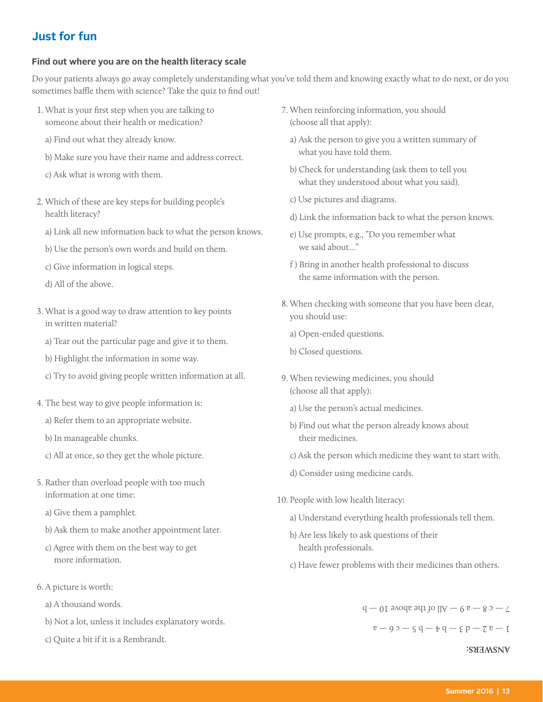## **Just for fun**

#### **Find out where you are on the health literacy scale**

Do your patients always go away completely understanding what you've told them and knowing exactly what to do next, or do you sometimes baffle them with science? Take the quiz to find out!

- 1. What is your frst step when you are talking to someone about their health or medication?
	- a) Find out what they already know.
	- b) Make sure you have their name and address correct.
	- c) Ask what is wrong with them.
- 2. Which of these are key steps for building people's health literacy?
	- a) Link all new information back to what the person knows.
	- b) Use the person's own words and build on them.
	- c) Give information in logical steps.
	- d) All of the above.
- 3. What is a good way to draw attention to key points in written material?
	- a) Tear out the particular page and give it to them.
	- b) Highlight the information in some way.
	- c) Try to avoid giving people written information at all.
- 4. The best way to give people information is:
	- a) Refer them to an appropriate website.
	- b) In manageable chunks.
	- c) All at once, so they get the whole picture.
- 5. Rather than overload people with too much information at one time:
	- a) Give them a pamphlet.
	- b) Ask them to make another appointment later.
	- c) Agree with them on the best way to get more information.
- 6. A picture is worth:
	- a) A thousand words.
	- b) Not a lot, unless it includes explanatory words.
	- c) Quite a bit if it is a Rembrandt.
- 7. When reinforcing information, you should (choose all that apply):
	- a) Ask the person to give you a written summary of what you have told them.
	- b) Check for understanding (ask them to tell you what they understood about what you said).
	- c) Use pictures and diagrams.
	- d) Link the information back to what the person knows.
	- e) Use prompts, e.g., "Do you remember what we said about…"
	- f ) Bring in another health professional to discuss the same information with the person.
- 8. When checking with someone that you have been clear, you should use:
	- a) Open-ended questions.
	- b) Closed questions.
- 9. When reviewing medicines, you should (choose all that apply):
	- a) Use the person's actual medicines.
	- b) Find out what the person already knows about their medicines.
	- c) Ask the person which medicine they want to start with.
	- d) Consider using medicine cards.
- 10. People with low health literacy:
	- a) Understand everything health professionals tell them.
	- b) Are less likely to ask questions of their health professionals.
	- c) Have fewer problems with their medicines than others.

 $7 - 6$  8  $-$  a 9  $-$  All of the above 10  $-$  b

1 — a 2 — d 3 — b 4 — b 5 — c 6 — a

**ANSWERS:**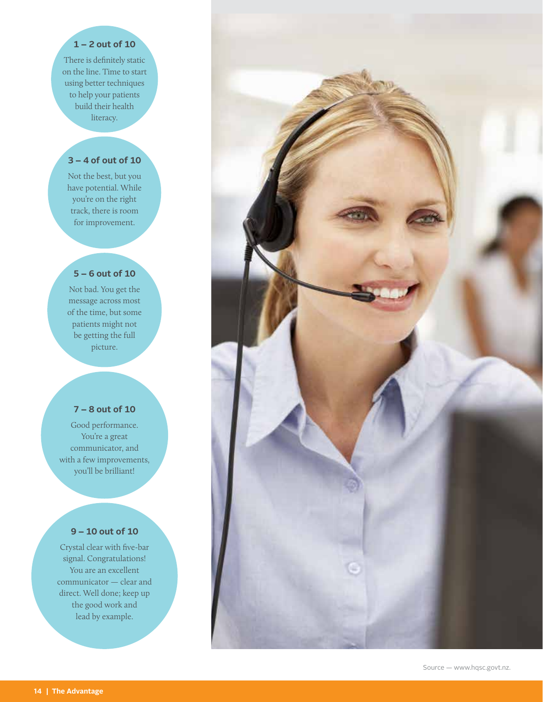#### **1 – 2 out of 10**

There is definitely static on the line. Time to start using better techniques to help your patients build their health literacy.

### **3 – 4 of out of 10**

Not the best, but you have potential. While you're on the right track, there is room for improvement.

#### **5 – 6 out of 10**

Not bad. You get the message across most of the time, but some patients might not be getting the full picture.

### **7 – 8 out of 10**

Good performance. You're a great communicator, and with a few improvements, you'll be brilliant!

### **9 – 10 out of 10**

Crystal clear with fve-bar signal. Congratulations! You are an excellent communicator — clear and direct. Well done; keep up the good work and lead by example.

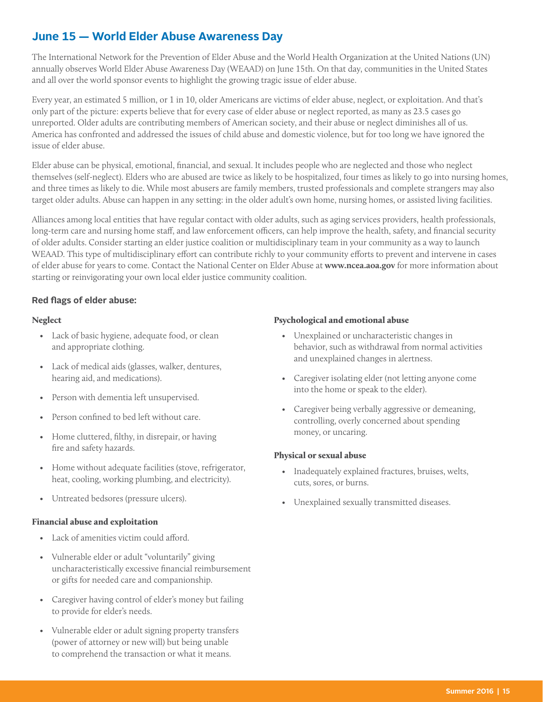## **June 15 — World Elder Abuse Awareness Day**

The International Network for the Prevention of Elder Abuse and the World Health Organization at the United Nations (UN) annually observes World Elder Abuse Awareness Day (WEAAD) on June 15th. On that day, communities in the United States and all over the world sponsor events to highlight the growing tragic issue of elder abuse.

Every year, an estimated 5 million, or 1 in 10, older Americans are victims of elder abuse, neglect, or exploitation. And that's only part of the picture: experts believe that for every case of elder abuse or neglect reported, as many as 23.5 cases go unreported. Older adults are contributing members of American society, and their abuse or neglect diminishes all of us. America has confronted and addressed the issues of child abuse and domestic violence, but for too long we have ignored the issue of elder abuse.

Elder abuse can be physical, emotional, fnancial, and sexual. It includes people who are neglected and those who neglect themselves (self-neglect). Elders who are abused are twice as likely to be hospitalized, four times as likely to go into nursing homes, and three times as likely to die. While most abusers are family members, trusted professionals and complete strangers may also target older adults. Abuse can happen in any setting: in the older adult's own home, nursing homes, or assisted living facilities.

Alliances among local entities that have regular contact with older adults, such as aging services providers, health professionals, long-term care and nursing home staff, and law enforcement officers, can help improve the health, safety, and financial security of older adults. Consider starting an elder justice coalition or multidisciplinary team in your community as a way to launch WEAAD. This type of multidisciplinary effort can contribute richly to your community efforts to prevent and intervene in cases of elder abuse for years to come. Contact the National Center on Elder Abuse at **<www.ncea.aoa.gov>** for more information about starting or reinvigorating your own local elder justice community coalition.

#### **Red fags of elder abuse:**

#### **Neglect**

- Lack of basic hygiene, adequate food, or clean and appropriate clothing.
- Lack of medical aids (glasses, walker, dentures, hearing aid, and medications).
- Person with dementia left unsupervised.
- Person confned to bed left without care.
- Home cluttered, flthy, in disrepair, or having fre and safety hazards.
- Home without adequate facilities (stove, refrigerator, heat, cooling, working plumbing, and electricity).
- Untreated bedsores (pressure ulcers).

#### Financial abuse and exploitation

- Lack of amenities victim could aford.
- Vulnerable elder or adult "voluntarily" giving uncharacteristically excessive fnancial reimbursement or gifts for needed care and companionship.
- Caregiver having control of elder's money but failing to provide for elder's needs.
- Vulnerable elder or adult signing property transfers (power of attorney or new will) but being unable to comprehend the transaction or what it means.

#### Psychological and emotional abuse

- Unexplained or uncharacteristic changes in behavior, such as withdrawal from normal activities and unexplained changes in alertness.
- Caregiver isolating elder (not letting anyone come into the home or speak to the elder).
- Caregiver being verbally aggressive or demeaning, controlling, overly concerned about spending money, or uncaring.

#### Physical or sexual abuse

- Inadequately explained fractures, bruises, welts, cuts, sores, or burns.
- Unexplained sexually transmitted diseases.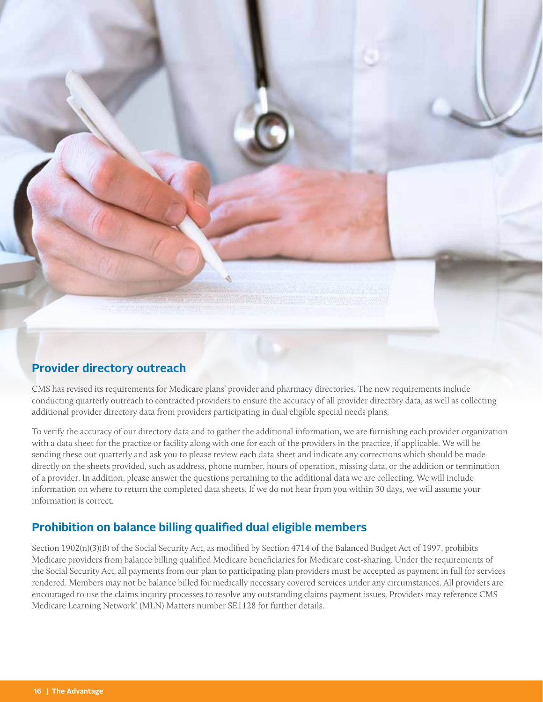

### **Provider directory outreach**

CMS has revised its requirements for Medicare plans' provider and pharmacy directories. The new requirements include conducting quarterly outreach to contracted providers to ensure the accuracy of all provider directory data, as well as collecting additional provider directory data from providers participating in dual eligible special needs plans.

To verify the accuracy of our directory data and to gather the additional information, we are furnishing each provider organization with a data sheet for the practice or facility along with one for each of the providers in the practice, if applicable. We will be sending these out quarterly and ask you to please review each data sheet and indicate any corrections which should be made directly on the sheets provided, such as address, phone number, hours of operation, missing data, or the addition or termination of a provider. In addition, please answer the questions pertaining to the additional data we are collecting. We will include information on where to return the completed data sheets. If we do not hear from you within 30 days, we will assume your information is correct.

## **Prohibition on balance billing qualifed dual eligible members**

Section 1902(n)(3)(B) of the Social Security Act, as modifed by Section 4714 of the Balanced Budget Act of 1997, prohibits Medicare providers from balance billing qualifed Medicare benefciaries for Medicare cost-sharing. Under the requirements of the Social Security Act, all payments from our plan to participating plan providers must be accepted as payment in full for services rendered. Members may not be balance billed for medically necessary covered services under any circumstances. All providers are encouraged to use the claims inquiry processes to resolve any outstanding claims payment issues. Providers may reference CMS Medicare Learning Network® (MLN) Matters number SE1128 for further details.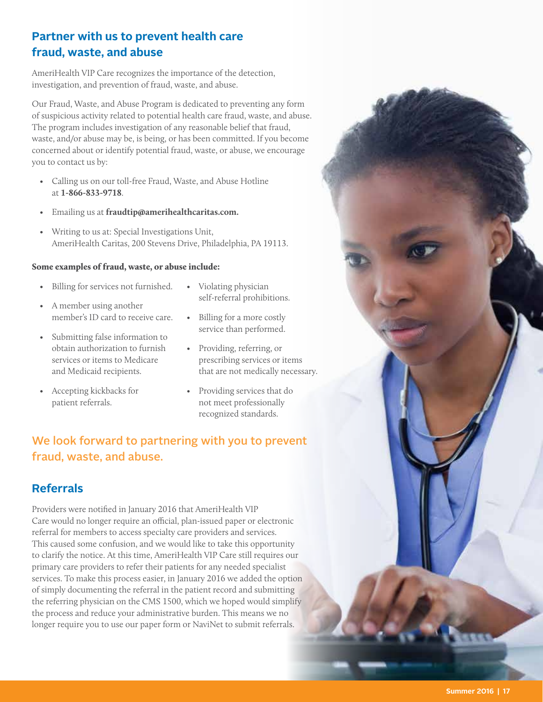# **Partner with us to prevent health care fraud, waste, and abuse**

AmeriHealth VIP Care recognizes the importance of the detection, investigation, and prevention of fraud, waste, and abuse.

Our Fraud, Waste, and Abuse Program is dedicated to preventing any form of suspicious activity related to potential health care fraud, waste, and abuse. The program includes investigation of any reasonable belief that fraud, waste, and/or abuse may be, is being, or has been committed. If you become concerned about or identify potential fraud, waste, or abuse, we encourage you to contact us by:

- Calling us on our toll-free Fraud, Waste, and Abuse Hotline at **1-866-833-9718**.
- Emailing us at **[fraudtip@amerihealthcaritas.com.](mailto:fraudtip@amerihealthcaritas.com)**
- Writing to us at: Special Investigations Unit, AmeriHealth Caritas, 200 Stevens Drive, Philadelphia, PA 19113.

#### Some examples of fraud, waste, or abuse include:

- Billing for services not furnished. Violating physician
- member's ID card to receive care. Billing for a more costly
- service than performed. Submitting false information to obtain authorization to furnish • Providing, referring, or services or items to Medicare prescribing services or items
- 
- self-referral prohibitions.<br>
A member using another
	-
- and Medicaid recipients. that are not medically necessary.
- Accepting kickbacks for Providing services that do patient referrals. The notion meet professionally recognized standards.

# We look forward to partnering with you to prevent fraud, waste, and abuse.

## **Referrals**

Providers were notifed in January 2016 that AmeriHealth VIP Care would no longer require an official, plan-issued paper or electronic referral for members to access specialty care providers and services. This caused some confusion, and we would like to take this opportunity to clarify the notice. At this time, AmeriHealth VIP Care still requires our primary care providers to refer their patients for any needed specialist services. To make this process easier, in January 2016 we added the option of simply documenting the referral in the patient record and submitting the referring physician on the CMS 1500, which we hoped would simplify the process and reduce your administrative burden. This means we no longer require you to use our paper form or NaviNet to submit referrals.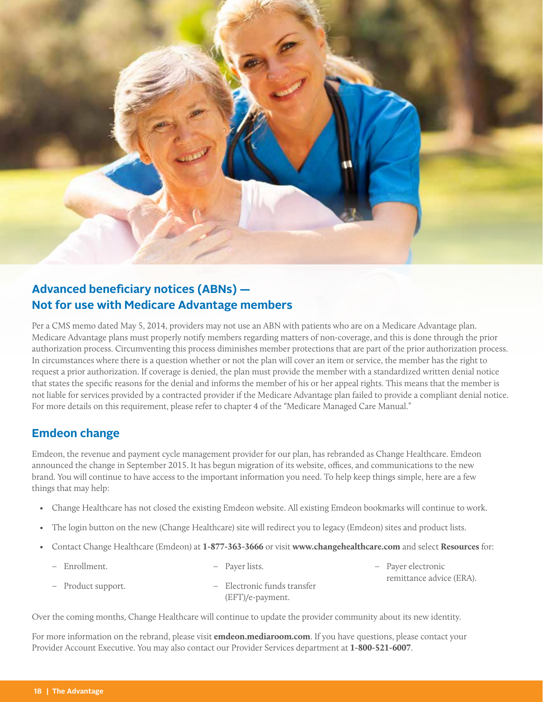

# **Advanced beneficiary notices (ABNs) -Not for use with Medicare Advantage members**

Per a CMS memo dated May 5, 2014, providers may not use an ABN with patients who are on a Medicare Advantage plan. Medicare Advantage plans must properly notify members regarding matters of non-coverage, and this is done through the prior authorization process. Circumventing this process diminishes member protections that are part of the prior authorization process. In circumstances where there is a question whether or not the plan will cover an item or service, the member has the right to request a prior authorization. If coverage is denied, the plan must provide the member with a standardized written denial notice that states the specifc reasons for the denial and informs the member of his or her appeal rights. This means that the member is not liable for services provided by a contracted provider if the Medicare Advantage plan failed to provide a compliant denial notice. For more details on this requirement, please refer to chapter 4 of the "Medicare Managed Care Manual."

### **Emdeon change**

Emdeon, the revenue and payment cycle management provider for our plan, has rebranded as Change Healthcare. Emdeon announced the change in September 2015. It has begun migration of its website, offices, and communications to the new brand. You will continue to have access to the important information you need. To help keep things simple, here are a few things that may help:

- Change Healthcare has not closed the existing Emdeon website. All existing Emdeon bookmarks will continue to work.
- The login button on the new (Change Healthcare) site will redirect you to legacy (Emdeon) sites and product lists.
- Contact Change Healthcare (Emdeon) at **1-877-363-3666** or visit **<www.changehealthcare.com>** and select **Resources** for:

| - Enrollment.      | – Paver lists.              | - Payer electronic       |
|--------------------|-----------------------------|--------------------------|
|                    |                             | remittance advice (ERA). |
| - Product support. | - Electronic funds transfer |                          |
|                    | $(EFT)/e$ -payment.         |                          |

Over the coming months, Change Healthcare will continue to update the provider community about its new identity.

For more information on the rebrand, please visit **[emdeon.mediaroom.com](https://emdeon.mediaroom.com)**. If you have questions, please contact your Provider Account Executive. You may also contact our Provider Services department at **1-800-521-6007**.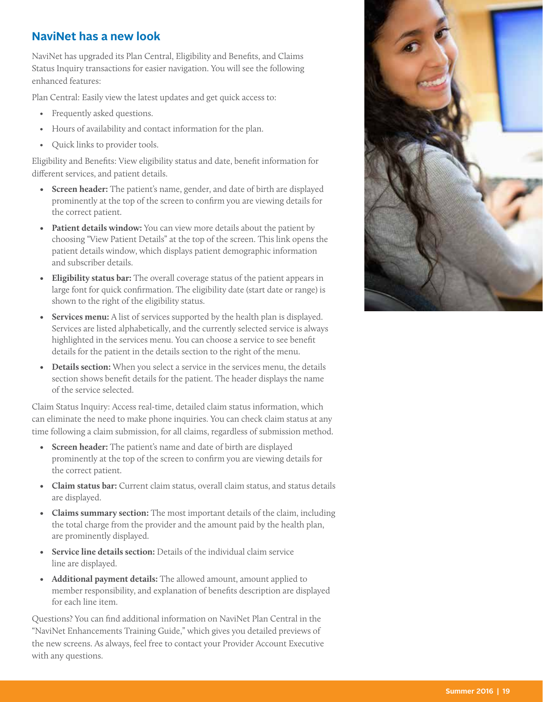## **NaviNet has a new look**

NaviNet has upgraded its Plan Central, Eligibility and Benefts, and Claims Status Inquiry transactions for easier navigation. You will see the following enhanced features:

Plan Central: Easily view the latest updates and get quick access to:

- Frequently asked questions.
- Hours of availability and contact information for the plan.
- Quick links to provider tools.

Eligibility and Benefts: View eligibility status and date, beneft information for diferent services, and patient details.

- **Screen header:** The patient's name, gender, and date of birth are displayed prominently at the top of the screen to confrm you are viewing details for the correct patient.
- **Patient details window:** You can view more details about the patient by choosing "View Patient Details" at the top of the screen. This link opens the patient details window, which displays patient demographic information and subscriber details.
- **Eligibility status bar:** The overall coverage status of the patient appears in large font for quick confrmation. The eligibility date (start date or range) is shown to the right of the eligibility status.
- **Services menu:** A list of services supported by the health plan is displayed. Services are listed alphabetically, and the currently selected service is always highlighted in the services menu. You can choose a service to see beneft details for the patient in the details section to the right of the menu.
- **Details section:** When you select a service in the services menu, the details section shows beneft details for the patient. The header displays the name of the service selected.

Claim Status Inquiry: Access real-time, detailed claim status information, which can eliminate the need to make phone inquiries. You can check claim status at any time following a claim submission, for all claims, regardless of submission method.

- **Screen header:** The patient's name and date of birth are displayed prominently at the top of the screen to confrm you are viewing details for the correct patient.
- **Claim status bar:** Current claim status, overall claim status, and status details are displayed.
- **Claims summary section:** The most important details of the claim, including the total charge from the provider and the amount paid by the health plan, are prominently displayed.
- **Service line details section:** Details of the individual claim service line are displayed.
- **Additional payment details:** The allowed amount, amount applied to member responsibility, and explanation of benefts description are displayed for each line item.

Questions? You can fnd additional information on NaviNet Plan Central in the "NaviNet Enhancements Training Guide," which gives you detailed previews of the new screens. As always, feel free to contact your Provider Account Executive with any questions.